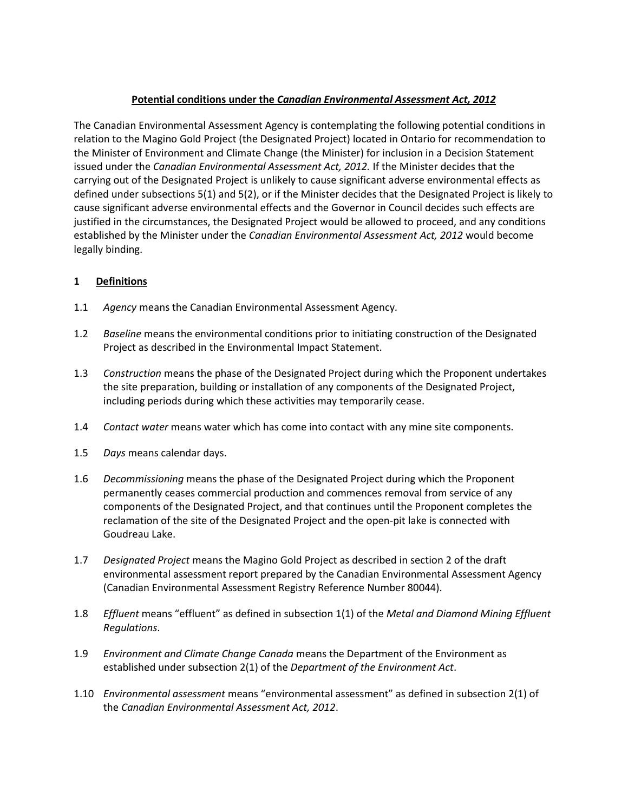# **Potential conditions under the** *Canadian Environmental Assessment Act, 2012*

The Canadian Environmental Assessment Agency is contemplating the following potential conditions in relation to the Magino Gold Project (the Designated Project) located in Ontario for recommendation to the Minister of Environment and Climate Change (the Minister) for inclusion in a Decision Statement issued under the *Canadian Environmental Assessment Act, 2012.* If the Minister decides that the carrying out of the Designated Project is unlikely to cause significant adverse environmental effects as defined under subsections 5(1) and 5(2), or if the Minister decides that the Designated Project is likely to cause significant adverse environmental effects and the Governor in Council decides such effects are justified in the circumstances, the Designated Project would be allowed to proceed, and any conditions established by the Minister under the *Canadian Environmental Assessment Act, 2012* would become legally binding.

# **1 Definitions**

- 1.1 *Agency* means the Canadian Environmental Assessment Agency*.*
- 1.2 *Baseline* means the environmental conditions prior to initiating construction of the Designated Project as described in the Environmental Impact Statement.
- 1.3 *Construction* means the phase of the Designated Project during which the Proponent undertakes the site preparation, building or installation of any components of the Designated Project, including periods during which these activities may temporarily cease.
- 1.4 *Contact water* means water which has come into contact with any mine site components.
- 1.5 *Days* means calendar days.
- 1.6 *Decommissioning* means the phase of the Designated Project during which the Proponent permanently ceases commercial production and commences removal from service of any components of the Designated Project, and that continues until the Proponent completes the reclamation of the site of the Designated Project and the open-pit lake is connected with Goudreau Lake.
- 1.7 *Designated Project* means the Magino Gold Project as described in section 2 of the draft environmental assessment report prepared by the Canadian Environmental Assessment Agency (Canadian Environmental Assessment Registry Reference Number 80044).
- 1.8 *Effluent* means "effluent" as defined in subsection 1(1) of the *Metal and Diamond Mining Effluent Regulations*.
- 1.9 *Environment and Climate Change Canada* means the Department of the Environment as established under subsection 2(1) of the *Department of the Environment Act*.
- 1.10 *Environmental assessment* means "environmental assessment" as defined in subsection 2(1) of the *Canadian Environmental Assessment Act, 2012*.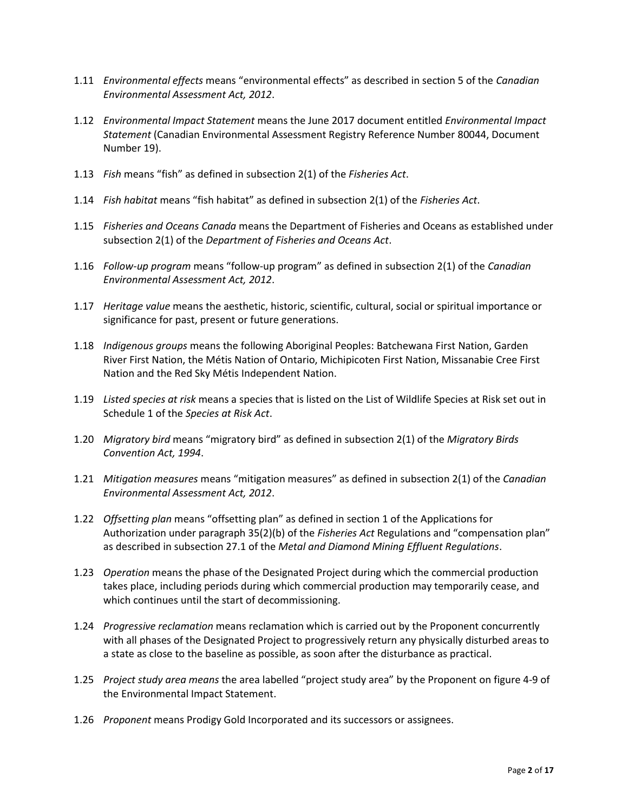- 1.11 *Environmental effects* means "environmental effects" as described in section 5 of the *Canadian Environmental Assessment Act, 2012*.
- 1.12 *Environmental Impact Statement* means the June 2017 document entitled *Environmental Impact Statement* (Canadian Environmental Assessment Registry Reference Number 80044, Document Number 19).
- 1.13 *Fish* means "fish" as defined in subsection 2(1) of the *Fisheries Act*.
- 1.14 *Fish habitat* means "fish habitat" as defined in subsection 2(1) of the *Fisheries Act*.
- 1.15 *Fisheries and Oceans Canada* means the Department of Fisheries and Oceans as established under subsection 2(1) of the *Department of Fisheries and Oceans Act*.
- 1.16 *Follow-up program* means "follow-up program" as defined in subsection 2(1) of the *Canadian Environmental Assessment Act, 2012*.
- 1.17 *Heritage value* means the aesthetic, historic, scientific, cultural, social or spiritual importance or significance for past, present or future generations.
- 1.18 *Indigenous groups* means the following Aboriginal Peoples: Batchewana First Nation, Garden River First Nation, the Métis Nation of Ontario, Michipicoten First Nation, Missanabie Cree First Nation and the Red Sky Métis Independent Nation.
- 1.19 *Listed species at risk* means a species that is listed on the List of Wildlife Species at Risk set out in Schedule 1 of the *Species at Risk Act*.
- 1.20 *Migratory bird* means "migratory bird" as defined in subsection 2(1) of the *Migratory Birds Convention Act, 1994*.
- 1.21 *Mitigation measures* means "mitigation measures" as defined in subsection 2(1) of the *Canadian Environmental Assessment Act, 2012*.
- 1.22 *Offsetting plan* means "offsetting plan" as defined in section 1 of the Applications for Authorization under paragraph 35(2)(b) of the *Fisheries Act* Regulations and "compensation plan" as described in subsection 27.1 of the *Metal and Diamond Mining Effluent Regulations*.
- 1.23 *Operation* means the phase of the Designated Project during which the commercial production takes place, including periods during which commercial production may temporarily cease, and which continues until the start of decommissioning.
- 1.24 *Progressive reclamation* means reclamation which is carried out by the Proponent concurrently with all phases of the Designated Project to progressively return any physically disturbed areas to a state as close to the baseline as possible, as soon after the disturbance as practical.
- 1.25 *Project study area means* the area labelled "project study area" by the Proponent on figure 4-9 of the Environmental Impact Statement.
- 1.26 *Proponent* means Prodigy Gold Incorporated and its successors or assignees.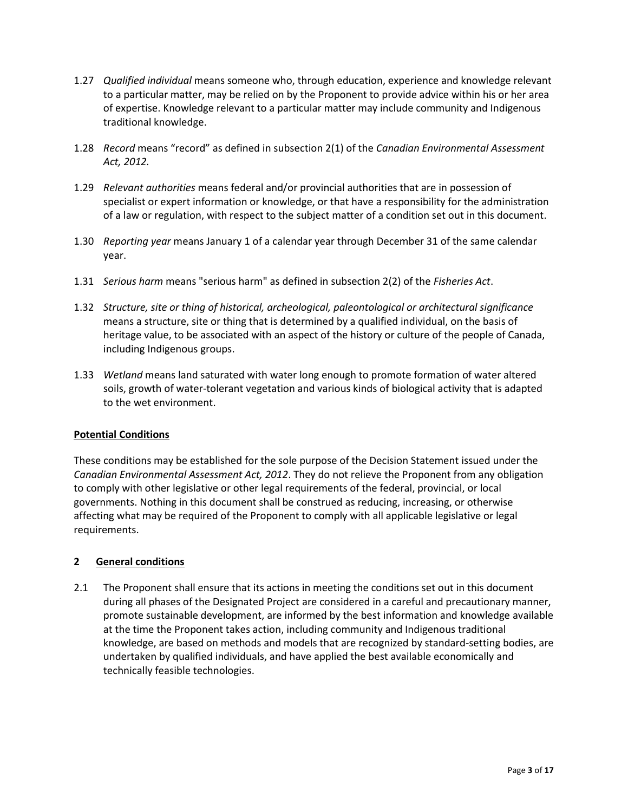- 1.27 *Qualified individual* means someone who, through education, experience and knowledge relevant to a particular matter, may be relied on by the Proponent to provide advice within his or her area of expertise. Knowledge relevant to a particular matter may include community and Indigenous traditional knowledge.
- 1.28 *Record* means "record" as defined in subsection 2(1) of the *Canadian Environmental Assessment Act, 2012.*
- 1.29 *Relevant authorities* means federal and/or provincial authorities that are in possession of specialist or expert information or knowledge, or that have a responsibility for the administration of a law or regulation, with respect to the subject matter of a condition set out in this document.
- 1.30 *Reporting year* means January 1 of a calendar year through December 31 of the same calendar year.
- 1.31 *Serious harm* means "serious harm" as defined in subsection 2(2) of the *Fisheries Act*.
- 1.32 *Structure, site or thing of historical, archeological, paleontological or architectural significance* means a structure, site or thing that is determined by a qualified individual, on the basis of heritage value, to be associated with an aspect of the history or culture of the people of Canada, including Indigenous groups.
- 1.33 *Wetland* means land saturated with water long enough to promote formation of water altered soils, growth of water-tolerant vegetation and various kinds of biological activity that is adapted to the wet environment.

#### **Potential Conditions**

These conditions may be established for the sole purpose of the Decision Statement issued under the *Canadian Environmental Assessment Act, 2012*. They do not relieve the Proponent from any obligation to comply with other legislative or other legal requirements of the federal, provincial, or local governments. Nothing in this document shall be construed as reducing, increasing, or otherwise affecting what may be required of the Proponent to comply with all applicable legislative or legal requirements.

## **2 General conditions**

2.1 The Proponent shall ensure that its actions in meeting the conditions set out in this document during all phases of the Designated Project are considered in a careful and precautionary manner, promote sustainable development, are informed by the best information and knowledge available at the time the Proponent takes action, including community and Indigenous traditional knowledge, are based on methods and models that are recognized by standard-setting bodies, are undertaken by qualified individuals, and have applied the best available economically and technically feasible technologies.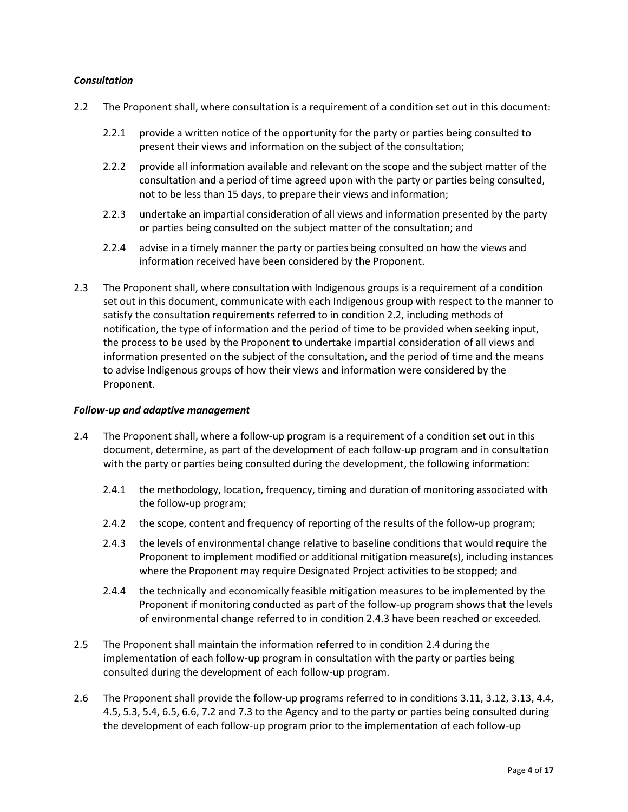### *Consultation*

- 2.2 The Proponent shall, where consultation is a requirement of a condition set out in this document:
	- 2.2.1 provide a written notice of the opportunity for the party or parties being consulted to present their views and information on the subject of the consultation;
	- 2.2.2 provide all information available and relevant on the scope and the subject matter of the consultation and a period of time agreed upon with the party or parties being consulted, not to be less than 15 days, to prepare their views and information;
	- 2.2.3 undertake an impartial consideration of all views and information presented by the party or parties being consulted on the subject matter of the consultation; and
	- 2.2.4 advise in a timely manner the party or parties being consulted on how the views and information received have been considered by the Proponent.
- 2.3 The Proponent shall, where consultation with Indigenous groups is a requirement of a condition set out in this document, communicate with each Indigenous group with respect to the manner to satisfy the consultation requirements referred to in condition 2.2, including methods of notification, the type of information and the period of time to be provided when seeking input, the process to be used by the Proponent to undertake impartial consideration of all views and information presented on the subject of the consultation, and the period of time and the means to advise Indigenous groups of how their views and information were considered by the Proponent.

#### *Follow-up and adaptive management*

- 2.4 The Proponent shall, where a follow-up program is a requirement of a condition set out in this document, determine, as part of the development of each follow-up program and in consultation with the party or parties being consulted during the development, the following information:
	- 2.4.1 the methodology, location, frequency, timing and duration of monitoring associated with the follow-up program;
	- 2.4.2 the scope, content and frequency of reporting of the results of the follow-up program;
	- 2.4.3 the levels of environmental change relative to baseline conditions that would require the Proponent to implement modified or additional mitigation measure(s), including instances where the Proponent may require Designated Project activities to be stopped; and
	- 2.4.4 the technically and economically feasible mitigation measures to be implemented by the Proponent if monitoring conducted as part of the follow-up program shows that the levels of environmental change referred to in condition 2.4.3 have been reached or exceeded.
- 2.5 The Proponent shall maintain the information referred to in condition 2.4 during the implementation of each follow-up program in consultation with the party or parties being consulted during the development of each follow-up program.
- 2.6 The Proponent shall provide the follow-up programs referred to in conditions 3.11, 3.12, 3.13, 4.4, 4.5, 5.3, 5.4, 6.5, 6.6, 7.2 and 7.3 to the Agency and to the party or parties being consulted during the development of each follow-up program prior to the implementation of each follow-up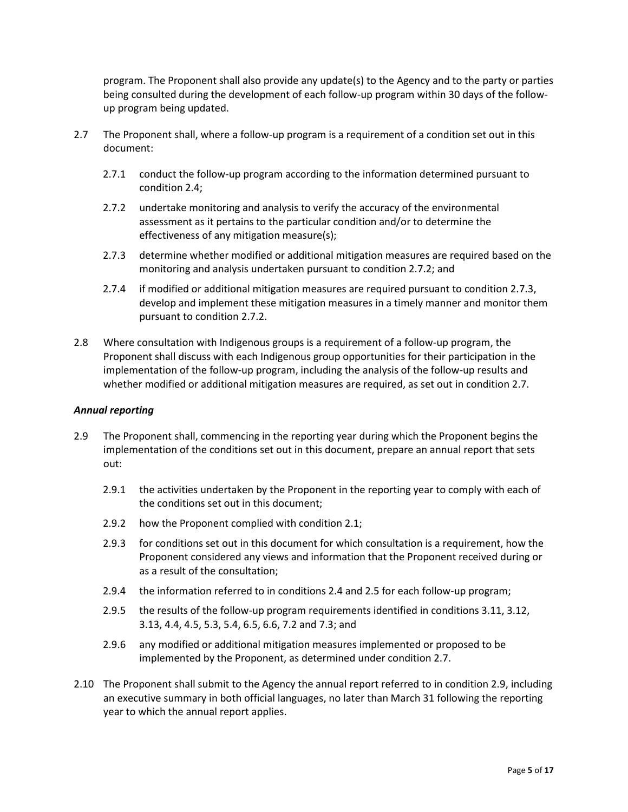program. The Proponent shall also provide any update(s) to the Agency and to the party or parties being consulted during the development of each follow-up program within 30 days of the followup program being updated.

- 2.7 The Proponent shall, where a follow-up program is a requirement of a condition set out in this document:
	- 2.7.1 conduct the follow-up program according to the information determined pursuant to condition 2.4;
	- 2.7.2 undertake monitoring and analysis to verify the accuracy of the environmental assessment as it pertains to the particular condition and/or to determine the effectiveness of any mitigation measure(s);
	- 2.7.3 determine whether modified or additional mitigation measures are required based on the monitoring and analysis undertaken pursuant to condition 2.7.2; and
	- 2.7.4 if modified or additional mitigation measures are required pursuant to condition 2.7.3, develop and implement these mitigation measures in a timely manner and monitor them pursuant to condition 2.7.2.
- 2.8 Where consultation with Indigenous groups is a requirement of a follow-up program, the Proponent shall discuss with each Indigenous group opportunities for their participation in the implementation of the follow-up program, including the analysis of the follow-up results and whether modified or additional mitigation measures are required, as set out in condition 2.7.

#### *Annual reporting*

- 2.9 The Proponent shall, commencing in the reporting year during which the Proponent begins the implementation of the conditions set out in this document, prepare an annual report that sets out:
	- 2.9.1 the activities undertaken by the Proponent in the reporting year to comply with each of the conditions set out in this document;
	- 2.9.2 how the Proponent complied with condition 2.1;
	- 2.9.3 for conditions set out in this document for which consultation is a requirement, how the Proponent considered any views and information that the Proponent received during or as a result of the consultation;
	- 2.9.4 the information referred to in conditions 2.4 and 2.5 for each follow-up program;
	- 2.9.5 the results of the follow-up program requirements identified in conditions 3.11, 3.12, 3.13, 4.4, 4.5, 5.3, 5.4, 6.5, 6.6, 7.2 and 7.3; and
	- 2.9.6 any modified or additional mitigation measures implemented or proposed to be implemented by the Proponent, as determined under condition 2.7.
- 2.10 The Proponent shall submit to the Agency the annual report referred to in condition 2.9, including an executive summary in both official languages, no later than March 31 following the reporting year to which the annual report applies.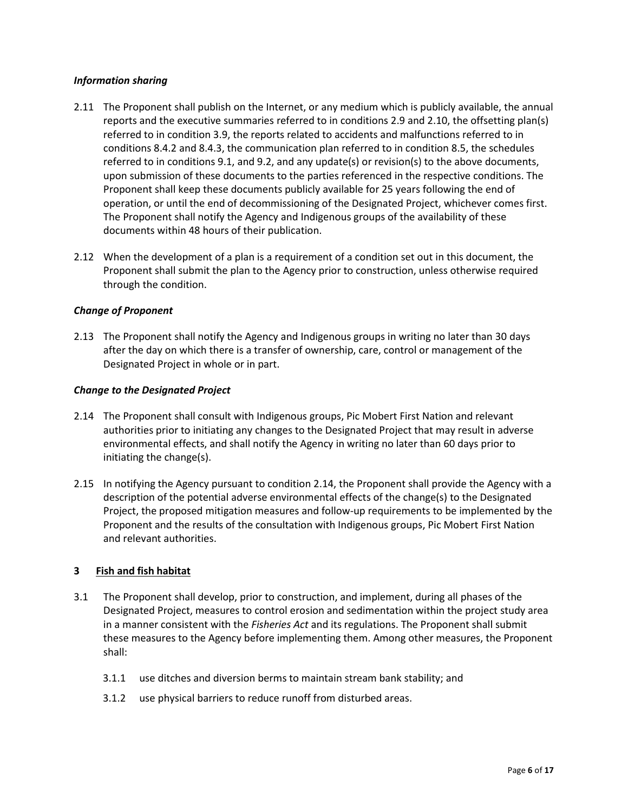## *Information sharing*

- 2.11 The Proponent shall publish on the Internet, or any medium which is publicly available, the annual reports and the executive summaries referred to in conditions 2.9 and 2.10, the offsetting plan(s) referred to in condition 3.9, the reports related to accidents and malfunctions referred to in conditions 8.4.2 and 8.4.3, the communication plan referred to in condition 8.5, the schedules referred to in conditions 9.1, and 9.2, and any update(s) or revision(s) to the above documents, upon submission of these documents to the parties referenced in the respective conditions. The Proponent shall keep these documents publicly available for 25 years following the end of operation, or until the end of decommissioning of the Designated Project, whichever comes first. The Proponent shall notify the Agency and Indigenous groups of the availability of these documents within 48 hours of their publication.
- 2.12 When the development of a plan is a requirement of a condition set out in this document, the Proponent shall submit the plan to the Agency prior to construction, unless otherwise required through the condition.

### *Change of Proponent*

2.13 The Proponent shall notify the Agency and Indigenous groups in writing no later than 30 days after the day on which there is a transfer of ownership, care, control or management of the Designated Project in whole or in part.

### *Change to the Designated Project*

- 2.14 The Proponent shall consult with Indigenous groups, Pic Mobert First Nation and relevant authorities prior to initiating any changes to the Designated Project that may result in adverse environmental effects, and shall notify the Agency in writing no later than 60 days prior to initiating the change(s).
- 2.15 In notifying the Agency pursuant to condition 2.14, the Proponent shall provide the Agency with a description of the potential adverse environmental effects of the change(s) to the Designated Project, the proposed mitigation measures and follow-up requirements to be implemented by the Proponent and the results of the consultation with Indigenous groups, Pic Mobert First Nation and relevant authorities.

#### **3 Fish and fish habitat**

- 3.1 The Proponent shall develop, prior to construction, and implement, during all phases of the Designated Project, measures to control erosion and sedimentation within the project study area in a manner consistent with the *Fisheries Act* and its regulations. The Proponent shall submit these measures to the Agency before implementing them. Among other measures, the Proponent shall:
	- 3.1.1 use ditches and diversion berms to maintain stream bank stability; and
	- 3.1.2 use physical barriers to reduce runoff from disturbed areas.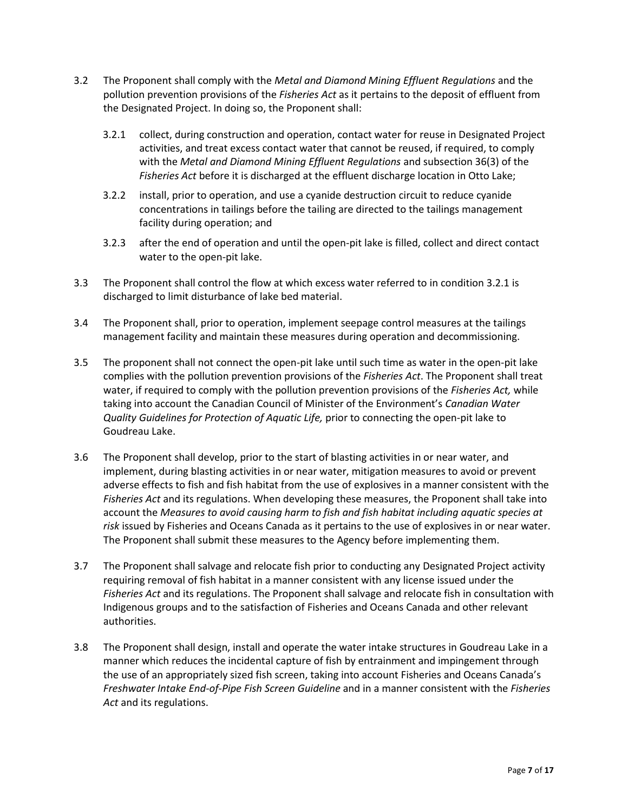- 3.2 The Proponent shall comply with the *Metal and Diamond Mining Effluent Regulations* and the pollution prevention provisions of the *Fisheries Act* as it pertains to the deposit of effluent from the Designated Project. In doing so, the Proponent shall:
	- 3.2.1 collect, during construction and operation, contact water for reuse in Designated Project activities, and treat excess contact water that cannot be reused, if required, to comply with the *Metal and Diamond Mining Effluent Regulations* and subsection 36(3) of the *Fisheries Act* before it is discharged at the effluent discharge location in Otto Lake;
	- 3.2.2 install, prior to operation, and use a cyanide destruction circuit to reduce cyanide concentrations in tailings before the tailing are directed to the tailings management facility during operation; and
	- 3.2.3 after the end of operation and until the open-pit lake is filled, collect and direct contact water to the open-pit lake.
- 3.3 The Proponent shall control the flow at which excess water referred to in condition 3.2.1 is discharged to limit disturbance of lake bed material.
- 3.4 The Proponent shall, prior to operation, implement seepage control measures at the tailings management facility and maintain these measures during operation and decommissioning.
- 3.5 The proponent shall not connect the open-pit lake until such time as water in the open-pit lake complies with the pollution prevention provisions of the *Fisheries Act*. The Proponent shall treat water, if required to comply with the pollution prevention provisions of the *Fisheries Act,* while taking into account the Canadian Council of Minister of the Environment's *Canadian Water Quality Guidelines for Protection of Aquatic Life,* prior to connecting the open-pit lake to Goudreau Lake.
- 3.6 The Proponent shall develop, prior to the start of blasting activities in or near water, and implement, during blasting activities in or near water, mitigation measures to avoid or prevent adverse effects to fish and fish habitat from the use of explosives in a manner consistent with the *Fisheries Act* and its regulations. When developing these measures, the Proponent shall take into account the *Measures to avoid causing harm to fish and fish habitat including aquatic species at risk* issued by Fisheries and Oceans Canada as it pertains to the use of explosives in or near water. The Proponent shall submit these measures to the Agency before implementing them.
- 3.7 The Proponent shall salvage and relocate fish prior to conducting any Designated Project activity requiring removal of fish habitat in a manner consistent with any license issued under the *Fisheries Act* and its regulations. The Proponent shall salvage and relocate fish in consultation with Indigenous groups and to the satisfaction of Fisheries and Oceans Canada and other relevant authorities.
- 3.8 The Proponent shall design, install and operate the water intake structures in Goudreau Lake in a manner which reduces the incidental capture of fish by entrainment and impingement through the use of an appropriately sized fish screen, taking into account Fisheries and Oceans Canada's *Freshwater Intake End-of-Pipe Fish Screen Guideline* and in a manner consistent with the *Fisheries Act* and its regulations.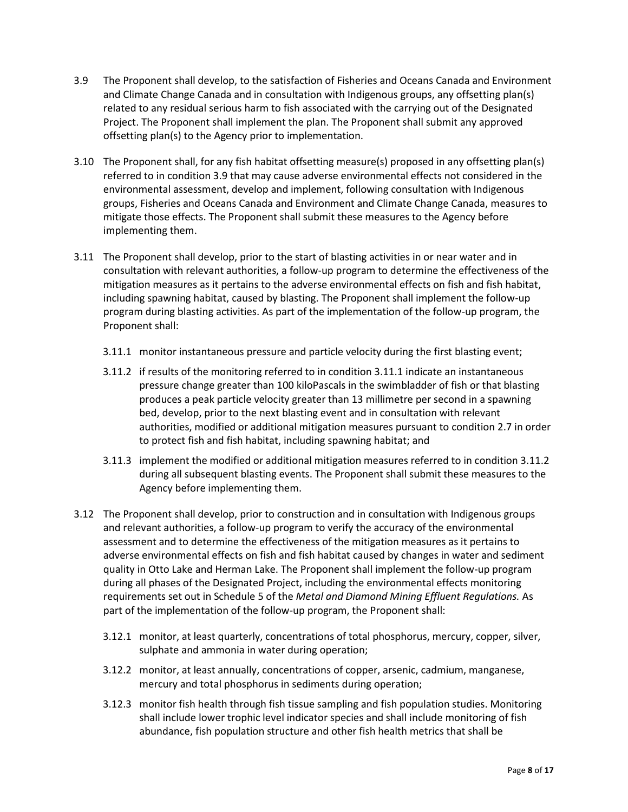- 3.9 The Proponent shall develop, to the satisfaction of Fisheries and Oceans Canada and Environment and Climate Change Canada and in consultation with Indigenous groups, any offsetting plan(s) related to any residual serious harm to fish associated with the carrying out of the Designated Project. The Proponent shall implement the plan. The Proponent shall submit any approved offsetting plan(s) to the Agency prior to implementation.
- 3.10 The Proponent shall, for any fish habitat offsetting measure(s) proposed in any offsetting plan(s) referred to in condition 3.9 that may cause adverse environmental effects not considered in the environmental assessment, develop and implement, following consultation with Indigenous groups, Fisheries and Oceans Canada and Environment and Climate Change Canada, measures to mitigate those effects. The Proponent shall submit these measures to the Agency before implementing them.
- 3.11 The Proponent shall develop, prior to the start of blasting activities in or near water and in consultation with relevant authorities, a follow‐up program to determine the effectiveness of the mitigation measures as it pertains to the adverse environmental effects on fish and fish habitat, including spawning habitat, caused by blasting. The Proponent shall implement the follow-up program during blasting activities. As part of the implementation of the follow-up program, the Proponent shall:
	- 3.11.1 monitor instantaneous pressure and particle velocity during the first blasting event;
	- 3.11.2 if results of the monitoring referred to in condition 3.11.1 indicate an instantaneous pressure change greater than 100 kiloPascals in the swimbladder of fish or that blasting produces a peak particle velocity greater than 13 millimetre per second in a spawning bed, develop, prior to the next blasting event and in consultation with relevant authorities, modified or additional mitigation measures pursuant to condition 2.7 in order to protect fish and fish habitat, including spawning habitat; and
	- 3.11.3 implement the modified or additional mitigation measures referred to in condition 3.11.2 during all subsequent blasting events. The Proponent shall submit these measures to the Agency before implementing them.
- 3.12 The Proponent shall develop, prior to construction and in consultation with Indigenous groups and relevant authorities, a follow-up program to verify the accuracy of the environmental assessment and to determine the effectiveness of the mitigation measures as it pertains to adverse environmental effects on fish and fish habitat caused by changes in water and sediment quality in Otto Lake and Herman Lake. The Proponent shall implement the follow-up program during all phases of the Designated Project, including the environmental effects monitoring requirements set out in Schedule 5 of the *Metal and Diamond Mining Effluent Regulations.* As part of the implementation of the follow-up program, the Proponent shall:
	- 3.12.1 monitor, at least quarterly, concentrations of total phosphorus, mercury, copper, silver, sulphate and ammonia in water during operation;
	- 3.12.2 monitor, at least annually, concentrations of copper, arsenic, cadmium, manganese, mercury and total phosphorus in sediments during operation;
	- 3.12.3 monitor fish health through fish tissue sampling and fish population studies. Monitoring shall include lower trophic level indicator species and shall include monitoring of fish abundance, fish population structure and other fish health metrics that shall be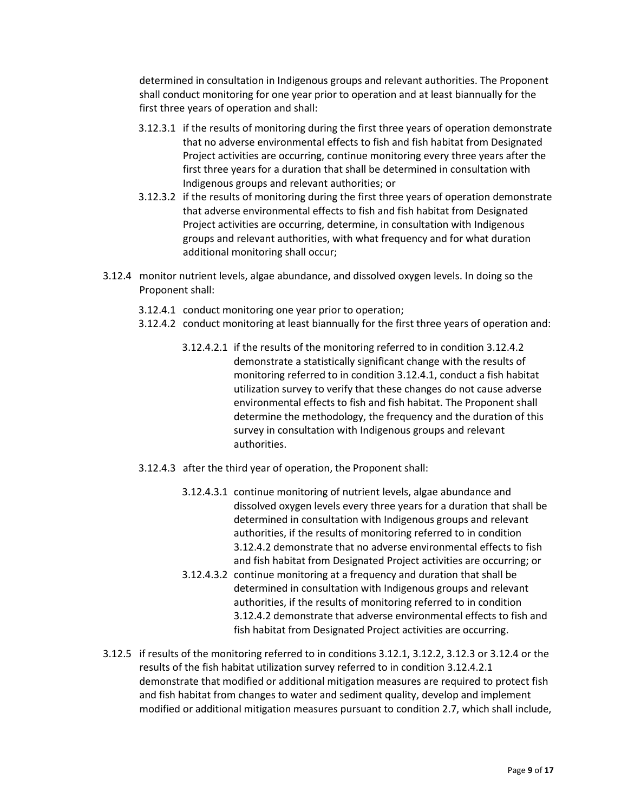determined in consultation in Indigenous groups and relevant authorities. The Proponent shall conduct monitoring for one year prior to operation and at least biannually for the first three years of operation and shall:

- 3.12.3.1 if the results of monitoring during the first three years of operation demonstrate that no adverse environmental effects to fish and fish habitat from Designated Project activities are occurring, continue monitoring every three years after the first three years for a duration that shall be determined in consultation with Indigenous groups and relevant authorities; or
- 3.12.3.2 if the results of monitoring during the first three years of operation demonstrate that adverse environmental effects to fish and fish habitat from Designated Project activities are occurring, determine, in consultation with Indigenous groups and relevant authorities, with what frequency and for what duration additional monitoring shall occur;
- 3.12.4 monitor nutrient levels, algae abundance, and dissolved oxygen levels. In doing so the Proponent shall:
	- 3.12.4.1 conduct monitoring one year prior to operation;
	- 3.12.4.2 conduct monitoring at least biannually for the first three years of operation and:
		- 3.12.4.2.1 if the results of the monitoring referred to in condition 3.12.4.2 demonstrate a statistically significant change with the results of monitoring referred to in condition 3.12.4.1, conduct a fish habitat utilization survey to verify that these changes do not cause adverse environmental effects to fish and fish habitat. The Proponent shall determine the methodology, the frequency and the duration of this survey in consultation with Indigenous groups and relevant authorities.
	- 3.12.4.3 after the third year of operation, the Proponent shall:
		- 3.12.4.3.1 continue monitoring of nutrient levels, algae abundance and dissolved oxygen levels every three years for a duration that shall be determined in consultation with Indigenous groups and relevant authorities, if the results of monitoring referred to in condition 3.12.4.2 demonstrate that no adverse environmental effects to fish and fish habitat from Designated Project activities are occurring; or
		- 3.12.4.3.2 continue monitoring at a frequency and duration that shall be determined in consultation with Indigenous groups and relevant authorities, if the results of monitoring referred to in condition 3.12.4.2 demonstrate that adverse environmental effects to fish and fish habitat from Designated Project activities are occurring.
- 3.12.5 if results of the monitoring referred to in conditions 3.12.1, 3.12.2, 3.12.3 or 3.12.4 or the results of the fish habitat utilization survey referred to in condition 3.12.4.2.1 demonstrate that modified or additional mitigation measures are required to protect fish and fish habitat from changes to water and sediment quality, develop and implement modified or additional mitigation measures pursuant to condition 2.7, which shall include,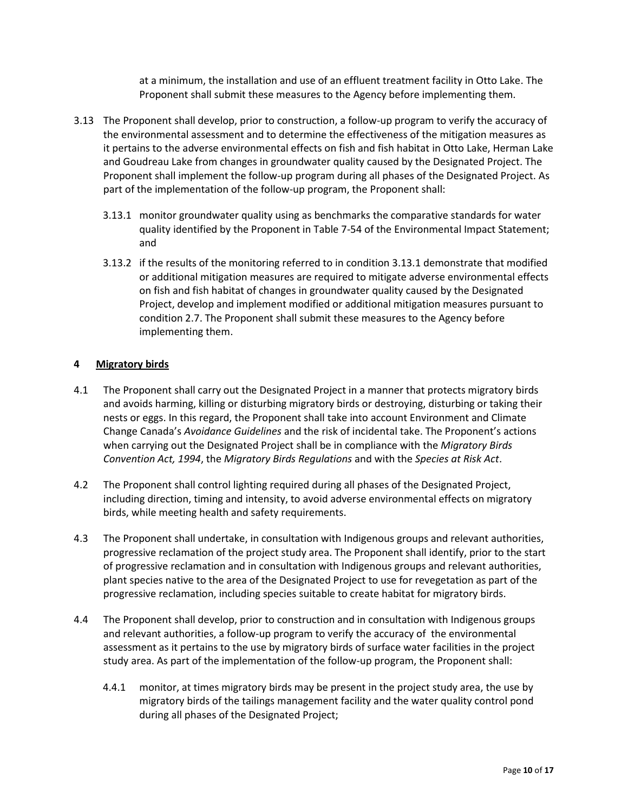at a minimum, the installation and use of an effluent treatment facility in Otto Lake. The Proponent shall submit these measures to the Agency before implementing them.

- 3.13 The Proponent shall develop, prior to construction, a follow-up program to verify the accuracy of the environmental assessment and to determine the effectiveness of the mitigation measures as it pertains to the adverse environmental effects on fish and fish habitat in Otto Lake, Herman Lake and Goudreau Lake from changes in groundwater quality caused by the Designated Project. The Proponent shall implement the follow-up program during all phases of the Designated Project. As part of the implementation of the follow-up program, the Proponent shall:
	- 3.13.1 monitor groundwater quality using as benchmarks the comparative standards for water quality identified by the Proponent in Table 7-54 of the Environmental Impact Statement; and
	- 3.13.2 if the results of the monitoring referred to in condition 3.13.1 demonstrate that modified or additional mitigation measures are required to mitigate adverse environmental effects on fish and fish habitat of changes in groundwater quality caused by the Designated Project, develop and implement modified or additional mitigation measures pursuant to condition 2.7. The Proponent shall submit these measures to the Agency before implementing them.

### **4 Migratory birds**

- 4.1 The Proponent shall carry out the Designated Project in a manner that protects migratory birds and avoids harming, killing or disturbing migratory birds or destroying, disturbing or taking their nests or eggs. In this regard, the Proponent shall take into account Environment and Climate Change Canada's *Avoidance Guidelines* and the risk of incidental take. The Proponent's actions when carrying out the Designated Project shall be in compliance with the *Migratory Birds Convention Act, 1994*, the *Migratory Birds Regulations* and with the *Species at Risk Act*.
- 4.2 The Proponent shall control lighting required during all phases of the Designated Project, including direction, timing and intensity, to avoid adverse environmental effects on migratory birds, while meeting health and safety requirements.
- 4.3 The Proponent shall undertake, in consultation with Indigenous groups and relevant authorities, progressive reclamation of the project study area. The Proponent shall identify, prior to the start of progressive reclamation and in consultation with Indigenous groups and relevant authorities, plant species native to the area of the Designated Project to use for revegetation as part of the progressive reclamation, including species suitable to create habitat for migratory birds.
- 4.4 The Proponent shall develop, prior to construction and in consultation with Indigenous groups and relevant authorities, a follow-up program to verify the accuracy of the environmental assessment as it pertains to the use by migratory birds of surface water facilities in the project study area. As part of the implementation of the follow-up program, the Proponent shall:
	- 4.4.1 monitor, at times migratory birds may be present in the project study area, the use by migratory birds of the tailings management facility and the water quality control pond during all phases of the Designated Project;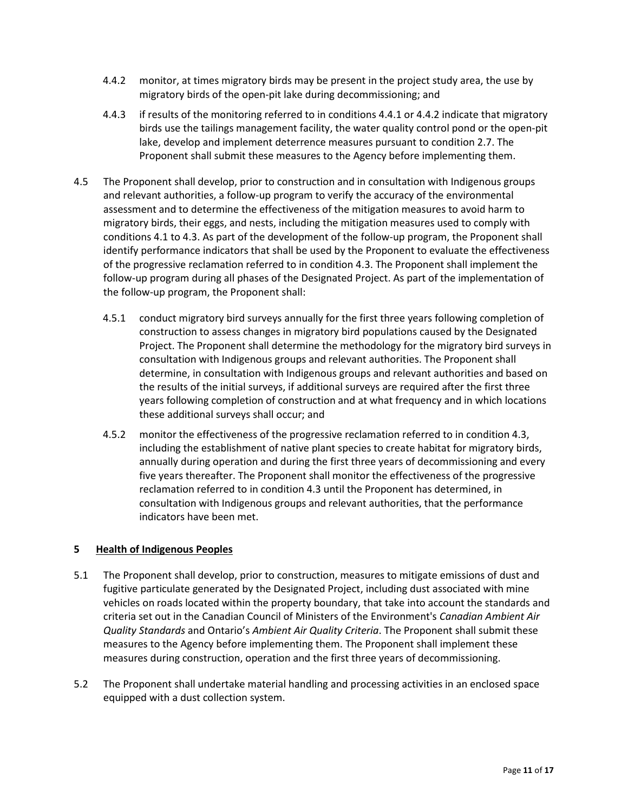- 4.4.2 monitor, at times migratory birds may be present in the project study area, the use by migratory birds of the open-pit lake during decommissioning; and
- 4.4.3 if results of the monitoring referred to in conditions 4.4.1 or 4.4.2 indicate that migratory birds use the tailings management facility, the water quality control pond or the open-pit lake, develop and implement deterrence measures pursuant to condition 2.7. The Proponent shall submit these measures to the Agency before implementing them.
- 4.5 The Proponent shall develop, prior to construction and in consultation with Indigenous groups and relevant authorities, a follow-up program to verify the accuracy of the environmental assessment and to determine the effectiveness of the mitigation measures to avoid harm to migratory birds, their eggs, and nests, including the mitigation measures used to comply with conditions 4.1 to 4.3. As part of the development of the follow-up program, the Proponent shall identify performance indicators that shall be used by the Proponent to evaluate the effectiveness of the progressive reclamation referred to in condition 4.3. The Proponent shall implement the follow-up program during all phases of the Designated Project. As part of the implementation of the follow-up program, the Proponent shall:
	- 4.5.1 conduct migratory bird surveys annually for the first three years following completion of construction to assess changes in migratory bird populations caused by the Designated Project. The Proponent shall determine the methodology for the migratory bird surveys in consultation with Indigenous groups and relevant authorities. The Proponent shall determine, in consultation with Indigenous groups and relevant authorities and based on the results of the initial surveys, if additional surveys are required after the first three years following completion of construction and at what frequency and in which locations these additional surveys shall occur; and
	- 4.5.2 monitor the effectiveness of the progressive reclamation referred to in condition 4.3, including the establishment of native plant species to create habitat for migratory birds, annually during operation and during the first three years of decommissioning and every five years thereafter. The Proponent shall monitor the effectiveness of the progressive reclamation referred to in condition 4.3 until the Proponent has determined, in consultation with Indigenous groups and relevant authorities, that the performance indicators have been met.

## **5 Health of Indigenous Peoples**

- 5.1 The Proponent shall develop, prior to construction, measures to mitigate emissions of dust and fugitive particulate generated by the Designated Project, including dust associated with mine vehicles on roads located within the property boundary, that take into account the standards and criteria set out in the Canadian Council of Ministers of the Environment's *Canadian Ambient Air Quality Standards* and Ontario's *Ambient Air Quality Criteria*. The Proponent shall submit these measures to the Agency before implementing them. The Proponent shall implement these measures during construction, operation and the first three years of decommissioning.
- 5.2 The Proponent shall undertake material handling and processing activities in an enclosed space equipped with a dust collection system.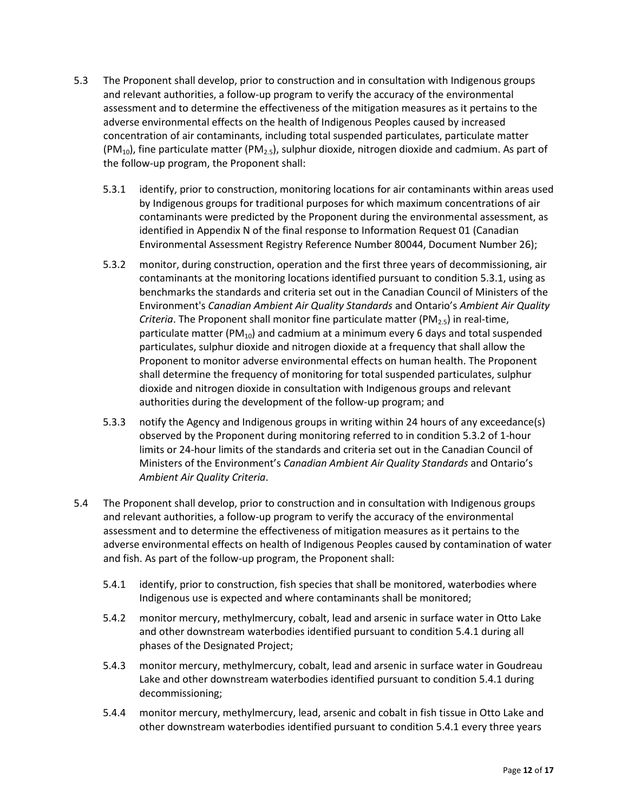- 5.3 The Proponent shall develop, prior to construction and in consultation with Indigenous groups and relevant authorities, a follow-up program to verify the accuracy of the environmental assessment and to determine the effectiveness of the mitigation measures as it pertains to the adverse environmental effects on the health of Indigenous Peoples caused by increased concentration of air contaminants, including total suspended particulates, particulate matter  $(PM<sub>10</sub>)$ , fine particulate matter  $(PM<sub>2.5</sub>)$ , sulphur dioxide, nitrogen dioxide and cadmium. As part of the follow-up program, the Proponent shall:
	- 5.3.1 identify, prior to construction, monitoring locations for air contaminants within areas used by Indigenous groups for traditional purposes for which maximum concentrations of air contaminants were predicted by the Proponent during the environmental assessment, as identified in Appendix N of the final response to Information Request 01 (Canadian Environmental Assessment Registry Reference Number 80044, Document Number 26);
	- 5.3.2 monitor, during construction, operation and the first three years of decommissioning, air contaminants at the monitoring locations identified pursuant to condition 5.3.1, using as benchmarks the standards and criteria set out in the Canadian Council of Ministers of the Environment's *Canadian Ambient Air Quality Standards* and Ontario's *Ambient Air Quality Criteria*. The Proponent shall monitor fine particulate matter (PM<sub>2.5</sub>) in real-time, particulate matter ( $PM_{10}$ ) and cadmium at a minimum every 6 days and total suspended particulates, sulphur dioxide and nitrogen dioxide at a frequency that shall allow the Proponent to monitor adverse environmental effects on human health. The Proponent shall determine the frequency of monitoring for total suspended particulates, sulphur dioxide and nitrogen dioxide in consultation with Indigenous groups and relevant authorities during the development of the follow-up program; and
	- 5.3.3 notify the Agency and Indigenous groups in writing within 24 hours of any exceedance(s) observed by the Proponent during monitoring referred to in condition 5.3.2 of 1-hour limits or 24-hour limits of the standards and criteria set out in the Canadian Council of Ministers of the Environment's *Canadian Ambient Air Quality Standards* and Ontario's *Ambient Air Quality Criteria*.
- 5.4 The Proponent shall develop, prior to construction and in consultation with Indigenous groups and relevant authorities, a follow-up program to verify the accuracy of the environmental assessment and to determine the effectiveness of mitigation measures as it pertains to the adverse environmental effects on health of Indigenous Peoples caused by contamination of water and fish. As part of the follow-up program, the Proponent shall:
	- 5.4.1 identify, prior to construction, fish species that shall be monitored, waterbodies where Indigenous use is expected and where contaminants shall be monitored;
	- 5.4.2 monitor mercury, methylmercury, cobalt, lead and arsenic in surface water in Otto Lake and other downstream waterbodies identified pursuant to condition 5.4.1 during all phases of the Designated Project;
	- 5.4.3 monitor mercury, methylmercury, cobalt, lead and arsenic in surface water in Goudreau Lake and other downstream waterbodies identified pursuant to condition 5.4.1 during decommissioning;
	- 5.4.4 monitor mercury, methylmercury, lead, arsenic and cobalt in fish tissue in Otto Lake and other downstream waterbodies identified pursuant to condition 5.4.1 every three years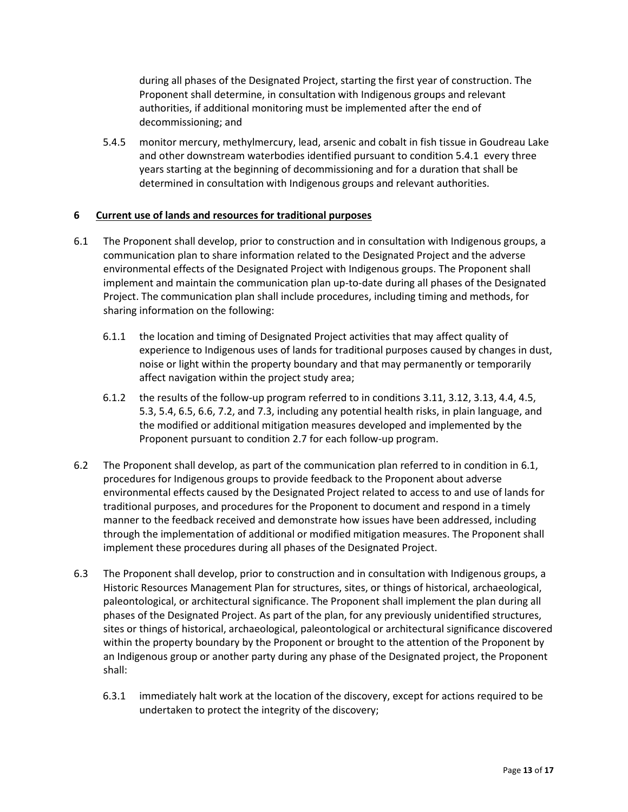during all phases of the Designated Project, starting the first year of construction. The Proponent shall determine, in consultation with Indigenous groups and relevant authorities, if additional monitoring must be implemented after the end of decommissioning; and

5.4.5 monitor mercury, methylmercury, lead, arsenic and cobalt in fish tissue in Goudreau Lake and other downstream waterbodies identified pursuant to condition 5.4.1 every three years starting at the beginning of decommissioning and for a duration that shall be determined in consultation with Indigenous groups and relevant authorities.

## **6 Current use of lands and resources for traditional purposes**

- 6.1 The Proponent shall develop, prior to construction and in consultation with Indigenous groups, a communication plan to share information related to the Designated Project and the adverse environmental effects of the Designated Project with Indigenous groups. The Proponent shall implement and maintain the communication plan up-to-date during all phases of the Designated Project. The communication plan shall include procedures, including timing and methods, for sharing information on the following:
	- 6.1.1 the location and timing of Designated Project activities that may affect quality of experience to Indigenous uses of lands for traditional purposes caused by changes in dust, noise or light within the property boundary and that may permanently or temporarily affect navigation within the project study area;
	- 6.1.2 the results of the follow-up program referred to in conditions 3.11, 3.12, 3.13, 4.4, 4.5, 5.3, 5.4, 6.5, 6.6, 7.2, and 7.3, including any potential health risks, in plain language, and the modified or additional mitigation measures developed and implemented by the Proponent pursuant to condition 2.7 for each follow-up program.
- 6.2 The Proponent shall develop, as part of the communication plan referred to in condition in 6.1, procedures for Indigenous groups to provide feedback to the Proponent about adverse environmental effects caused by the Designated Project related to access to and use of lands for traditional purposes, and procedures for the Proponent to document and respond in a timely manner to the feedback received and demonstrate how issues have been addressed, including through the implementation of additional or modified mitigation measures. The Proponent shall implement these procedures during all phases of the Designated Project.
- 6.3 The Proponent shall develop, prior to construction and in consultation with Indigenous groups, a Historic Resources Management Plan for structures, sites, or things of historical, archaeological, paleontological, or architectural significance. The Proponent shall implement the plan during all phases of the Designated Project. As part of the plan, for any previously unidentified structures, sites or things of historical, archaeological, paleontological or architectural significance discovered within the property boundary by the Proponent or brought to the attention of the Proponent by an Indigenous group or another party during any phase of the Designated project, the Proponent shall:
	- 6.3.1 immediately halt work at the location of the discovery, except for actions required to be undertaken to protect the integrity of the discovery;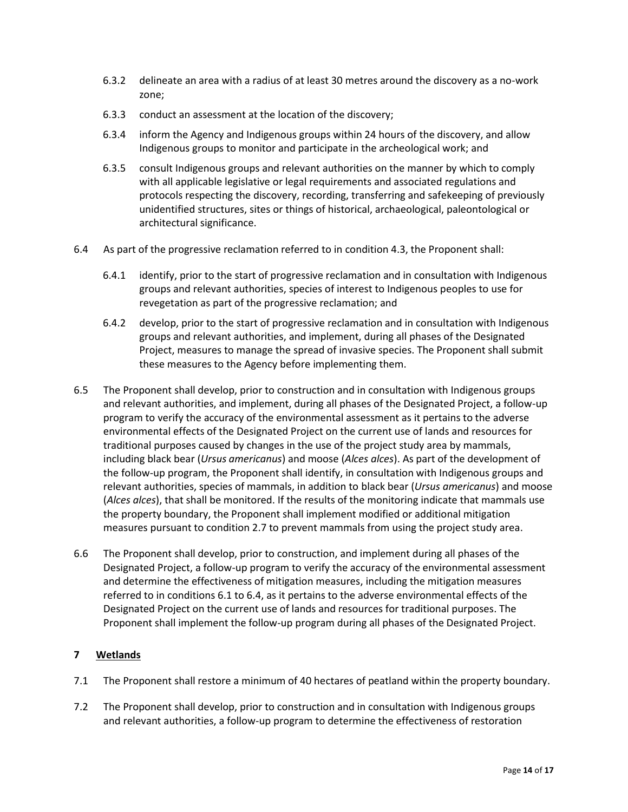- 6.3.2 delineate an area with a radius of at least 30 metres around the discovery as a no-work zone;
- 6.3.3 conduct an assessment at the location of the discovery;
- 6.3.4 inform the Agency and Indigenous groups within 24 hours of the discovery, and allow Indigenous groups to monitor and participate in the archeological work; and
- 6.3.5 consult Indigenous groups and relevant authorities on the manner by which to comply with all applicable legislative or legal requirements and associated regulations and protocols respecting the discovery, recording, transferring and safekeeping of previously unidentified structures, sites or things of historical, archaeological, paleontological or architectural significance.
- 6.4 As part of the progressive reclamation referred to in condition 4.3, the Proponent shall:
	- 6.4.1 identify, prior to the start of progressive reclamation and in consultation with Indigenous groups and relevant authorities, species of interest to Indigenous peoples to use for revegetation as part of the progressive reclamation; and
	- 6.4.2 develop, prior to the start of progressive reclamation and in consultation with Indigenous groups and relevant authorities, and implement, during all phases of the Designated Project, measures to manage the spread of invasive species. The Proponent shall submit these measures to the Agency before implementing them.
- 6.5 The Proponent shall develop, prior to construction and in consultation with Indigenous groups and relevant authorities, and implement, during all phases of the Designated Project, a follow-up program to verify the accuracy of the environmental assessment as it pertains to the adverse environmental effects of the Designated Project on the current use of lands and resources for traditional purposes caused by changes in the use of the project study area by mammals, including black bear (*Ursus americanus*) and moose (*Alces alces*). As part of the development of the follow-up program, the Proponent shall identify, in consultation with Indigenous groups and relevant authorities, species of mammals, in addition to black bear (*Ursus americanus*) and moose (*Alces alces*), that shall be monitored. If the results of the monitoring indicate that mammals use the property boundary, the Proponent shall implement modified or additional mitigation measures pursuant to condition 2.7 to prevent mammals from using the project study area.
- 6.6 The Proponent shall develop, prior to construction, and implement during all phases of the Designated Project, a follow-up program to verify the accuracy of the environmental assessment and determine the effectiveness of mitigation measures, including the mitigation measures referred to in conditions 6.1 to 6.4, as it pertains to the adverse environmental effects of the Designated Project on the current use of lands and resources for traditional purposes. The Proponent shall implement the follow-up program during all phases of the Designated Project.

## **7 Wetlands**

- 7.1 The Proponent shall restore a minimum of 40 hectares of peatland within the property boundary.
- 7.2 The Proponent shall develop, prior to construction and in consultation with Indigenous groups and relevant authorities, a follow-up program to determine the effectiveness of restoration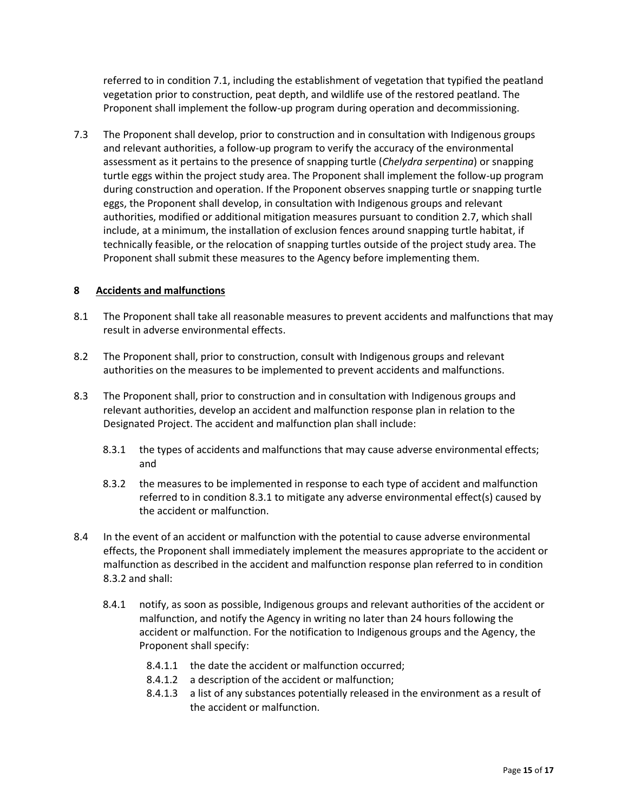referred to in condition 7.1, including the establishment of vegetation that typified the peatland vegetation prior to construction, peat depth, and wildlife use of the restored peatland. The Proponent shall implement the follow-up program during operation and decommissioning.

7.3 The Proponent shall develop, prior to construction and in consultation with Indigenous groups and relevant authorities, a follow-up program to verify the accuracy of the environmental assessment as it pertains to the presence of snapping turtle (*Chelydra serpentina*) or snapping turtle eggs within the project study area. The Proponent shall implement the follow-up program during construction and operation. If the Proponent observes snapping turtle or snapping turtle eggs, the Proponent shall develop, in consultation with Indigenous groups and relevant authorities, modified or additional mitigation measures pursuant to condition 2.7, which shall include, at a minimum, the installation of exclusion fences around snapping turtle habitat, if technically feasible, or the relocation of snapping turtles outside of the project study area. The Proponent shall submit these measures to the Agency before implementing them.

### **8 Accidents and malfunctions**

- 8.1 The Proponent shall take all reasonable measures to prevent accidents and malfunctions that may result in adverse environmental effects.
- 8.2 The Proponent shall, prior to construction, consult with Indigenous groups and relevant authorities on the measures to be implemented to prevent accidents and malfunctions.
- 8.3 The Proponent shall, prior to construction and in consultation with Indigenous groups and relevant authorities, develop an accident and malfunction response plan in relation to the Designated Project. The accident and malfunction plan shall include:
	- 8.3.1 the types of accidents and malfunctions that may cause adverse environmental effects; and
	- 8.3.2 the measures to be implemented in response to each type of accident and malfunction referred to in condition 8.3.1 to mitigate any adverse environmental effect(s) caused by the accident or malfunction.
- 8.4 In the event of an accident or malfunction with the potential to cause adverse environmental effects, the Proponent shall immediately implement the measures appropriate to the accident or malfunction as described in the accident and malfunction response plan referred to in condition 8.3.2 and shall:
	- 8.4.1 notify, as soon as possible, Indigenous groups and relevant authorities of the accident or malfunction, and notify the Agency in writing no later than 24 hours following the accident or malfunction. For the notification to Indigenous groups and the Agency, the Proponent shall specify:
		- 8.4.1.1 the date the accident or malfunction occurred;
		- 8.4.1.2 a description of the accident or malfunction;
		- 8.4.1.3 a list of any substances potentially released in the environment as a result of the accident or malfunction.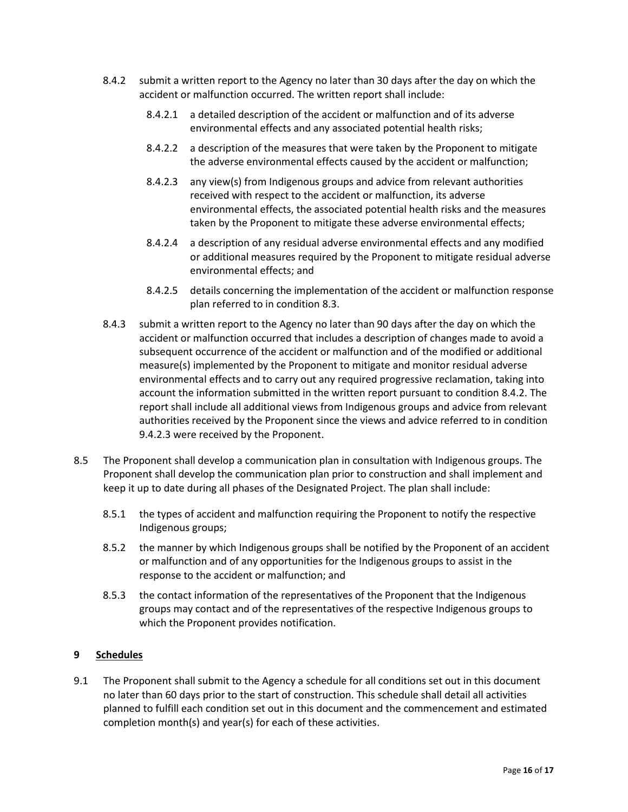- 8.4.2 submit a written report to the Agency no later than 30 days after the day on which the accident or malfunction occurred. The written report shall include:
	- 8.4.2.1 a detailed description of the accident or malfunction and of its adverse environmental effects and any associated potential health risks;
	- 8.4.2.2 a description of the measures that were taken by the Proponent to mitigate the adverse environmental effects caused by the accident or malfunction;
	- 8.4.2.3 any view(s) from Indigenous groups and advice from relevant authorities received with respect to the accident or malfunction, its adverse environmental effects, the associated potential health risks and the measures taken by the Proponent to mitigate these adverse environmental effects;
	- 8.4.2.4 a description of any residual adverse environmental effects and any modified or additional measures required by the Proponent to mitigate residual adverse environmental effects; and
	- 8.4.2.5 details concerning the implementation of the accident or malfunction response plan referred to in condition 8.3.
- 8.4.3 submit a written report to the Agency no later than 90 days after the day on which the accident or malfunction occurred that includes a description of changes made to avoid a subsequent occurrence of the accident or malfunction and of the modified or additional measure(s) implemented by the Proponent to mitigate and monitor residual adverse environmental effects and to carry out any required progressive reclamation, taking into account the information submitted in the written report pursuant to condition 8.4.2. The report shall include all additional views from Indigenous groups and advice from relevant authorities received by the Proponent since the views and advice referred to in condition 9.4.2.3 were received by the Proponent.
- 8.5 The Proponent shall develop a communication plan in consultation with Indigenous groups. The Proponent shall develop the communication plan prior to construction and shall implement and keep it up to date during all phases of the Designated Project. The plan shall include:
	- 8.5.1 the types of accident and malfunction requiring the Proponent to notify the respective Indigenous groups;
	- 8.5.2 the manner by which Indigenous groups shall be notified by the Proponent of an accident or malfunction and of any opportunities for the Indigenous groups to assist in the response to the accident or malfunction; and
	- 8.5.3 the contact information of the representatives of the Proponent that the Indigenous groups may contact and of the representatives of the respective Indigenous groups to which the Proponent provides notification.

# **9 Schedules**

9.1 The Proponent shall submit to the Agency a schedule for all conditions set out in this document no later than 60 days prior to the start of construction. This schedule shall detail all activities planned to fulfill each condition set out in this document and the commencement and estimated completion month(s) and year(s) for each of these activities.